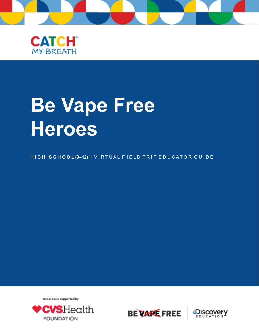



# **Be Vape Free Heroes**

HIGH SCHOOL (9-12) | VIRTUAL FIELD TRIP EDUCATOR GUIDE

Generously supported by





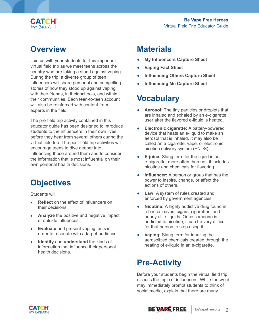

#### **Overview**

Join us with your students for this important virtual field trip as we meet teens across the country who are taking a stand against vaping. During the trip, a diverse group of teen influencers will share personal and compelling stories of how they stood up against vaping with their friends, in their schools, and within their communities. Each teen-to-teen account will also be reinforced with content from experts in the field.

The pre-field trip activity contained in this educator guide has been designed to introduce students to the influencers in their own lives before they hear from several others during the virtual field trip. The post-field trip activities will encourage teens to dive deeper into influencing those around them and to consider the information that is most influential on their own personal health decisions.

# **Objectives**

Students will:

- **Reflect** on the effect of influencers on their decisions.
- Analyze the positive and negative impact of outside influences.
- **Evaluate** and present vaping facts in order to resonate with a target audience.
- **Identify** and **understand** the kinds of information that influence their personal health decisions.

#### **Materials**

- **My Influencers Capture Sheet**
- **Vaping Fact Sheet**
- **Influencing Others Capture Sheet**
- **Influencing Me Capture Sheet**

#### **Vocabulary**

- **Aerosol:** The tiny particles or droplets that are inhaled and exhaled by an e-cigarette user after the flavored e-liquid is heated.
- **Electronic cigarette:** A battery-powered device that heats an e-liquid to make an aerosol that is inhaled. It may also be called an e-cigarette, vape, or electronic nicotine delivery system (ENDS).
- **E-juice:** Slang term for the liquid in an e-cigarette; more often than not, it includes nicotine and chemicals for flavoring.
- **Influencer:** A person or group that has the power to inspire, change, or affect the actions of others.
- **Law:** A system of rules created and enforced by government agencies.
- **Nicotine:** A highly addictive drug found in tobacco leaves, cigars, cigarettes, and nearly all e-liquids. Once someone is addicted to nicotine, it can be very difficult for that person to stop using it.
- **Vaping:** Slang term for inhaling the aerosolized chemicals created through the heating of e-liquid in an e-cigarette.

# **Pre-Activity**

Before your students begin the virtual field trip, discuss the topic of influencers. While the word may immediately prompt students to think of social media, explain that there are many

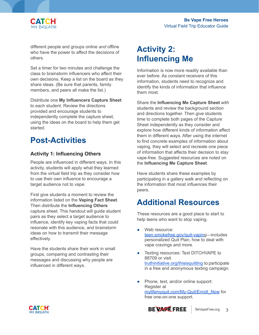

different people and groups online *and* offline who have the power to affect the decisions of others.

Set a timer for two minutes and challenge the class to brainstorm influencers who affect their own decisions. Keep a list on the board as they share ideas. (Be sure that parents, family members, and peers all make the list.)

Distribute one **My Influencers Capture Sheet** to each student. Review the directions provided and encourage students to independently complete the capture sheet, using the ideas on the board to help them get started.

## **Post-Activities**

#### **Activity 1: Influencing Others**

People are influenced in different ways. In this activity, students will apply what they learned from the virtual field trip as they consider how to use their own influence to encourage a target audience not to vape.

First give students a moment to review the information listed on the **Vaping Fact Sheet**. Then distribute the **Influencing Others** capture sheet. This handout will guide student pairs as they select a target audience to influence, identify key vaping facts that could resonate with this audience, and brainstorm ideas on how to transmit their message effectively.

Have the students share their work in small groups, comparing and contrasting their messages and discussing why people are influenced in different ways.

#### **Activity 2: Influencing Me**

Information is now more readily available than ever before. As constant receivers of this information, students need to recognize and identify the kinds of information that influence them most.

Share the **Influencing Me Capture Sheet** with students and review the background section and directions together. Then give students time to complete both pages of the Capture Sheet independently as they consider and explore how different kinds of information affect them in different ways. After using the internet to find concrete examples of information about vaping, they will select and recreate one piece of information that affects their decision to stay vape-free. Suggested resources are noted on the **Influencing Me Capture Sheet**.

Have students share these examples by participating in a gallery walk and reflecting on the information that most influences their peers.

# **Additional Resources**

These resources are a good place to start to help teens who want to stop vaping.

- Web resource: [teen.smokefree.gov/quit-vaping](http://teen.smokefree.gov/quit-vapin)—includes personalized Quit Plan, how to deal with vape cravings and more.
- Texting resources: Text DITCHVAPE to 88709 or visit [truthinitiative.org/thisisquitting](http://truthinitiative.org/thisisquitting) to participate in a free and anonymous texting campaign.
- Phone, text, and/or online support: Register at [mylifemyquit.com/My-Quit/Enroll\\_Now](http://mylifemyquit.com/My-Quit/Enroll_Now) for free one-on-one support.



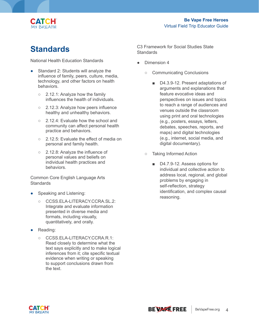

#### **Standards**

National Health Education Standards

- Standard 2: Students will analyze the influence of family, peers, culture, media, technology, and other factors on health behaviors.
	- 2.12.1: Analyze how the family influences the health of individuals.
	- 2.12.3: Analyze how peers influence healthy and unhealthy behaviors.
	- 2.12.4: Evaluate how the school and community can affect personal health practice and behaviors.
	- 2.12.5: Evaluate the effect of media on personal and family health.
	- 2.12.8: Analyze the influence of personal values and beliefs on individual health practices and behaviors.

Common Core English Language Arts **Standards** 

- Speaking and Listening:
	- CCSS.ELA-LITERACY.CCRA.SL.2: Integrate and evaluate information presented in diverse media and formats, including visually, quantitatively, and orally.
- Reading:
	- CCSS.ELA-LITERACY.CCRA.R.1: Read closely to determine what the text says explicitly and to make logical inferences from it; cite specific textual evidence when writing or speaking to support conclusions drawn from the text.

C3 Framework for Social Studies State **Standards** 

- Dimension 4
	- Communicating Conclusions
		- D4.3.9-12. Present adaptations of arguments and explanations that feature evocative ideas and perspectives on issues and topics to reach a range of audiences and venues outside the classroom using print and oral technologies (e.g., posters, essays, letters, debates, speeches, reports, and maps) and digital technologies (e.g., internet, social media, and digital documentary).
	- Taking Informed Action
		- D4.7.9-12. Assess options for individual and collective action to address local, regional, and global problems by engaging in self-reflection, strategy identification, and complex causal reasoning.

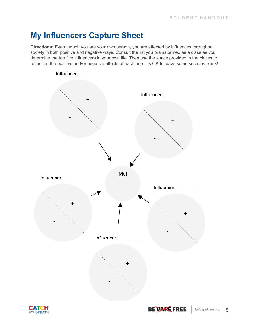## **My Influencers Capture Sheet**

**Directions:** Even though you are your own person, you are affected by influences throughout society in both positive and negative ways. Consult the list you brainstormed as a class as you determine the top five influencers in your own life. Then use the space provided in the circles to reflect on the positive and/or negative effects of each one. It's OK to leave some sections blank!

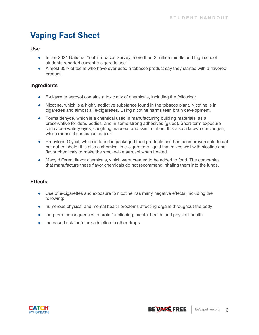# **Vaping Fact Sheet**

#### **Use**

- In the 2021 National Youth Tobacco Survey, more than 2 million middle and high school students reported current e-cigarette use.
- Almost 85% of teens who have ever used a tobacco product say they started with a flavored product.

#### **Ingredients**

- E-cigarette aerosol contains a toxic mix of chemicals, including the following:
- Nicotine, which is a highly addictive substance found in the tobacco plant. Nicotine is in cigarettes and almost all e-cigarettes. Using nicotine harms teen brain development.
- Formaldehyde, which is a chemical used in manufacturing building materials, as a preservative for dead bodies, and in some strong adhesives (glues). Short-term exposure can cause watery eyes, coughing, nausea, and skin irritation. It is also a known carcinogen, which means it can cause cancer.
- Propylene Glycol, which is found in packaged food products and has been proven safe to eat but not to inhale. It is also a chemical in e-cigarette e-liquid that mixes well with nicotine and flavor chemicals to make the smoke-like aerosol when heated.
- Many different flavor chemicals, which were created to be added to food. The companies that manufacture these flavor chemicals do not recommend inhaling them into the lungs.

#### **Effects**

- Use of e-cigarettes and exposure to nicotine has many negative effects, including the following:
- numerous physical and mental health problems affecting organs throughout the body
- long-term consequences to brain functioning, mental health, and physical health
- increased risk for future addiction to other drugs

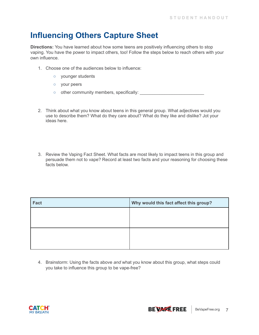## **Influencing Others Capture Sheet**

**Directions:** You have learned about how some teens are positively influencing others to stop vaping. You have the power to impact others, too! Follow the steps below to reach others with your own influence.

- 1. Choose one of the audiences below to influence:
	- younger students
	- your peers
	- other community members, specifically: <u>\_\_\_\_\_\_\_\_\_\_\_\_\_\_\_\_\_\_\_\_\_\_\_\_\_\_\_\_</u>
- 2. Think about what you know about teens in this general group. What adjectives would you use to describe them? What do they care about? What do they like and dislike? Jot your ideas here.
- 3. Review the Vaping Fact Sheet. What facts are most likely to impact teens in this group and persuade them not to vape? Record at least two facts and your reasoning for choosing these facts below.

| Why would this fact affect this group? |
|----------------------------------------|
|                                        |
|                                        |
|                                        |
|                                        |
|                                        |

4. Brainstorm: Using the facts above *and* what you know about this group, what steps could you take to influence this group to be vape-free?

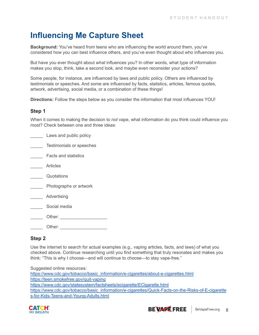## **Influencing Me Capture Sheet**

**Background:** You've heard from teens who are influencing the world around them, you've considered how you can best influence others, and you've even thought about who influences you.

But have you ever thought about *what* influences you? In other words, what type of information makes you stop, think, take a second look, and maybe even reconsider your actions?

Some people, for instance, are influenced by laws and public policy. Others are influenced by testimonials or speeches. And some are influenced by facts, statistics, articles, famous quotes, artwork, advertising, social media, or a combination of these things!

**Directions:** Follow the steps below as you consider the information that most influences YOU!

#### **Step 1**

When it comes to making the decision to *not* vape, what information do you think could influence you most? Check between one and three ideas:

| Laws and public policy      |
|-----------------------------|
| Testimonials or speeches    |
| <b>Facts and statistics</b> |
| Articles                    |
| Quotations                  |
| Photographs or artwork      |
| Advertising                 |
| Social media                |
| Other:                      |
| Other: will                 |
|                             |

#### **Step 2**

Use the internet to search for actual examples (e.g., vaping articles, facts, and laws) of what you checked above. Continue researching until you find something that truly resonates and makes you think: "This is why I choose—and will continue to choose—to stay vape-free."

Suggested online resources: [https://www.cdc.gov/tobacco/basic\\_information/e-cigarettes/about-e-cigarettes.html](https://www.cdc.gov/tobacco/basic_information/e-cigarettes/about-e-cigarettes.html) <https://teen.smokefree.gov/quit-vaping> <https://www.cdc.gov/statesystem/factsheets/ecigarette/ECigarette.html> [https://www.cdc.gov/tobacco/basic\\_information/e-cigarettes/Quick-Facts-on-the-Risks-of-E-cigarette](https://www.cdc.gov/tobacco/basic_information/e-cigarettes/Quick-Facts-on-the-Risks-of-E-cigarettes-for-Kids-Teens-and-Young-Adults.html) [s-for-Kids-Teens-and-Young-Adults.html](https://www.cdc.gov/tobacco/basic_information/e-cigarettes/Quick-Facts-on-the-Risks-of-E-cigarettes-for-Kids-Teens-and-Young-Adults.html)